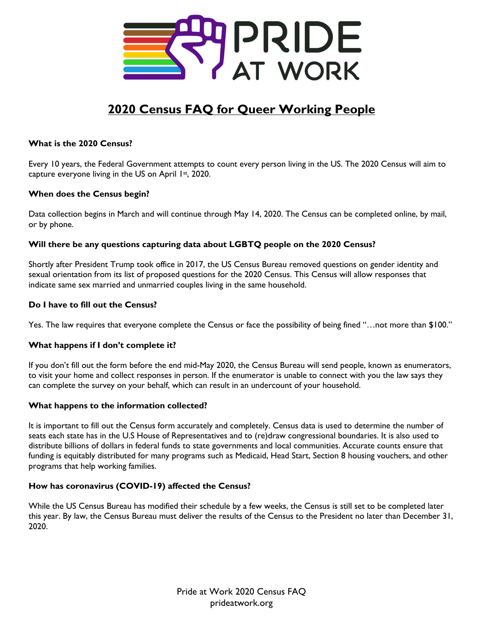

# **2020 Census FAQ for Queer Working People**

# **What is the 2020 Census?**

Every 10 years, the Federal Government attempts to count every person living in the US. The 2020 Census will aim to capture everyone living in the US on April  $1st$ , 2020.

# **When does the Census begin?**

Data collection begins in March and will continue through May 14, 2020. The Census can be completed online, by mail, or by phone.

# **Will there be any questions capturing data about LGBTQ people on the 2020 Census?**

Shortly after President Trump took office in 2017, the US Census Bureau removed questions on gender identity and sexual orientation from its list of proposed questions for the 2020 Census. This Census will allow responses that indicate same sex married and unmarried couples living in the same household.

### **Do I have to fill out the Census?**

Yes. The law requires that everyone complete the Census or face the possibility of being fined "…not more than \$100."

### **What happens if I don't complete it?**

If you don't fill out the form before the end mid-May 2020, the Census Bureau will send people, known as enumerators, to visit your home and collect responses in person. If the enumerator is unable to connect with you the law says they can complete the survey on your behalf, which can result in an undercount of your household.

### **What happens to the information collected?**

It is important to fill out the Census form accurately and completely. Census data is used to determine the number of seats each state has in the U.S House of Representatives and to (re)draw congressional boundaries. It is also used to distribute billions of dollars in federal funds to state governments and local communities. Accurate counts ensure that funding is equitably distributed for many programs such as Medicaid, Head Start, Section 8 housing vouchers, and other programs that help working families.

# **How has coronavirus (COVID-19) affected the Census?**

While the US Census Bureau has modified their schedule by a few weeks, the Census is still set to be completed later this year. By law, the Census Bureau must deliver the results of the Census to the President no later than December 31, 2020.

> Pride at Work 2020 Census FAQ prideatwork.org